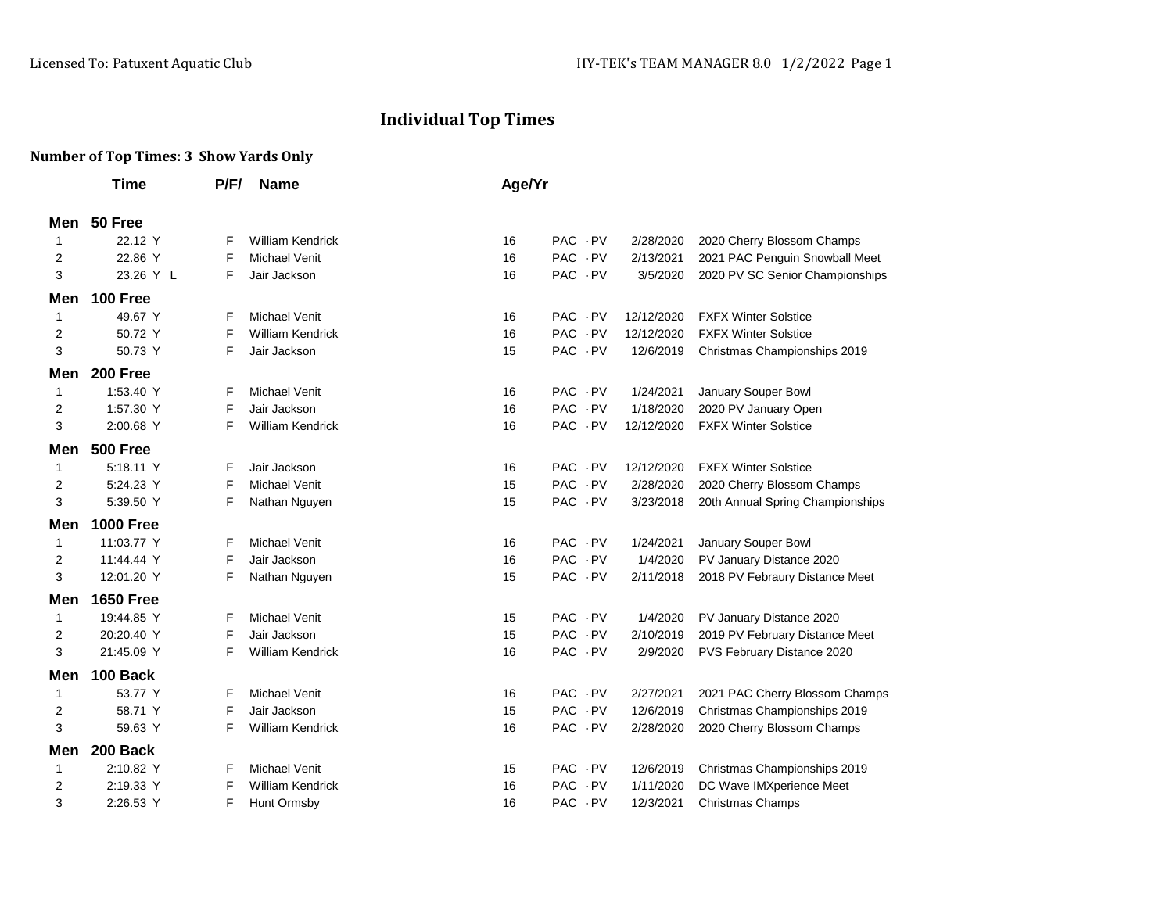## **Individual Top Times**

## **Number of Top Times: 3 Show Yards Only**

|     | Time             | P/F/ | <b>Name</b>             | Age/Yr |                          |            |                                  |
|-----|------------------|------|-------------------------|--------|--------------------------|------------|----------------------------------|
| Men | 50 Free          |      |                         |        |                          |            |                                  |
| 1   | 22.12 Y          | F    | <b>William Kendrick</b> | 16     | PAC PV                   | 2/28/2020  | 2020 Cherry Blossom Champs       |
| 2   | 22.86 Y          | F    | Michael Venit           | 16     | PAC PV                   | 2/13/2021  | 2021 PAC Penguin Snowball Meet   |
| 3   | 23.26 Y L        | F    | Jair Jackson            | 16     | PAC PV                   | 3/5/2020   | 2020 PV SC Senior Championships  |
| Men | <b>100 Free</b>  |      |                         |        |                          |            |                                  |
| 1   | 49.67 Y          | F    | Michael Venit           | 16     | PAC PV                   | 12/12/2020 | <b>FXFX Winter Solstice</b>      |
| 2   | 50.72 Y          | F    | <b>William Kendrick</b> | 16     | PAC PV                   | 12/12/2020 | <b>FXFX Winter Solstice</b>      |
| 3   | 50.73 Y          | F    | Jair Jackson            | 15     | PAC PV                   | 12/6/2019  | Christmas Championships 2019     |
| Men | 200 Free         |      |                         |        |                          |            |                                  |
| 1   | 1:53.40 Y        | F    | <b>Michael Venit</b>    | 16     | PAC PV                   | 1/24/2021  | January Souper Bowl              |
| 2   | 1:57.30 Y        | F    | Jair Jackson            | 16     | PAC PV                   | 1/18/2020  | 2020 PV January Open             |
| 3   | 2:00.68 Y        | F    | <b>William Kendrick</b> | 16     | PAC PV                   | 12/12/2020 | <b>FXFX Winter Solstice</b>      |
| Men | <b>500 Free</b>  |      |                         |        |                          |            |                                  |
| 1   | 5:18.11 Y        | F    | Jair Jackson            | 16     | PAC PV                   | 12/12/2020 | <b>FXFX Winter Solstice</b>      |
| 2   | 5:24.23 Y        | F    | Michael Venit           | 15     | PAC PV                   | 2/28/2020  | 2020 Cherry Blossom Champs       |
| 3   | 5:39.50 Y        | F    | Nathan Nguyen           | 15     | PAC PV                   | 3/23/2018  | 20th Annual Spring Championships |
| Men | <b>1000 Free</b> |      |                         |        |                          |            |                                  |
| 1   | 11:03.77 Y       | F    | <b>Michael Venit</b>    | 16     | PAC PV                   | 1/24/2021  | January Souper Bowl              |
| 2   | 11:44.44 Y       | F    | Jair Jackson            | 16     | PAC PV                   | 1/4/2020   | PV January Distance 2020         |
| 3   | 12:01.20 Y       | F    | Nathan Nguyen           | 15     | PAC PV                   | 2/11/2018  | 2018 PV Febraury Distance Meet   |
| Men | <b>1650 Free</b> |      |                         |        |                          |            |                                  |
| 1   | 19:44.85 Y       | F    | Michael Venit           | 15     | PAC PV                   | 1/4/2020   | PV January Distance 2020         |
| 2   | 20:20.40 Y       | F    | Jair Jackson            | 15     | PAC PV                   | 2/10/2019  | 2019 PV February Distance Meet   |
| 3   | 21:45.09 Y       | F    | <b>William Kendrick</b> | 16     | PAC PV                   | 2/9/2020   | PVS February Distance 2020       |
| Men | 100 Back         |      |                         |        |                          |            |                                  |
| 1   | 53.77 Y          | F    | <b>Michael Venit</b>    | 16     | PAC PV                   | 2/27/2021  | 2021 PAC Cherry Blossom Champs   |
| 2   | 58.71 Y          | F    | Jair Jackson            | 15     | PAC PV                   | 12/6/2019  | Christmas Championships 2019     |
| 3   | 59.63 Y          | F    | <b>William Kendrick</b> | 16     | PAC PV                   | 2/28/2020  | 2020 Cherry Blossom Champs       |
| Men | 200 Back         |      |                         |        |                          |            |                                  |
| 1   | 2:10.82 Y        | F    | <b>Michael Venit</b>    | 15     | PAC PV                   | 12/6/2019  | Christmas Championships 2019     |
| 2   | 2:19.33 Y        | F    | <b>William Kendrick</b> | 16     | <b>PAC</b><br>$\cdot$ PV | 1/11/2020  | DC Wave IMXperience Meet         |
| 3   | 2:26.53 Y        | F    | Hunt Ormsby             | 16     | PAC PV                   | 12/3/2021  | <b>Christmas Champs</b>          |